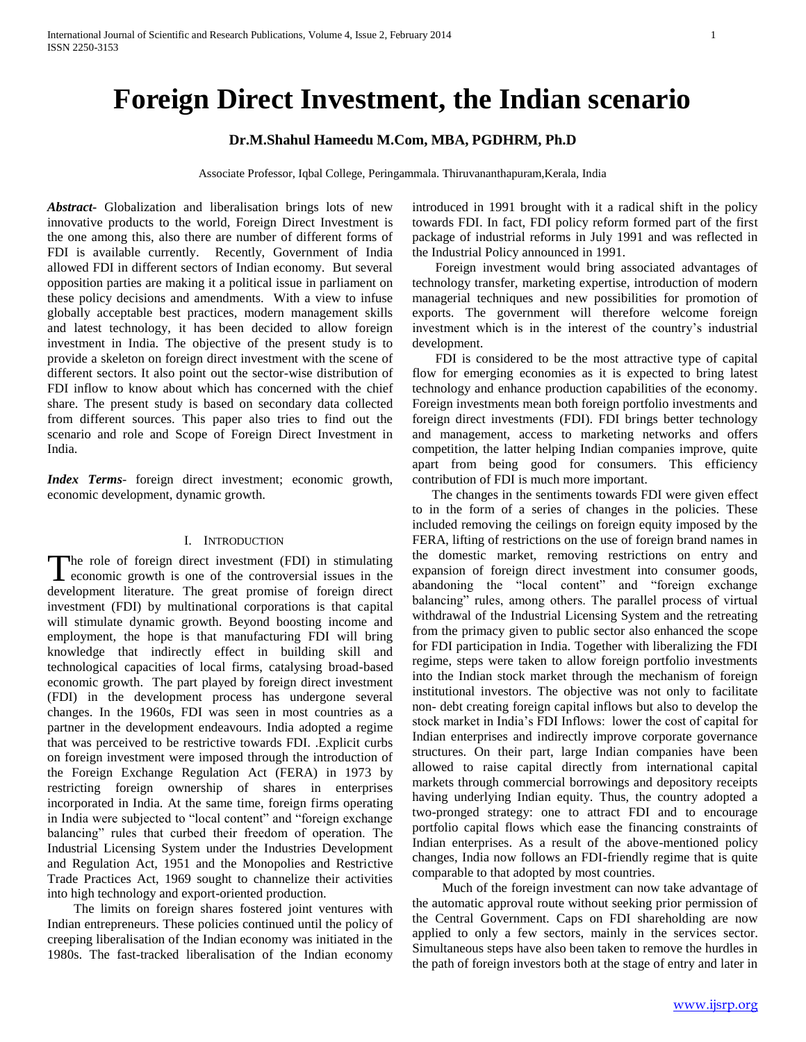# **Foreign Direct Investment, the Indian scenario**

## **Dr.M.Shahul Hameedu M.Com, MBA, PGDHRM, Ph.D**

Associate Professor, Iqbal College, Peringammala. Thiruvananthapuram,Kerala, India

*Abstract***-** Globalization and liberalisation brings lots of new innovative products to the world, Foreign Direct Investment is the one among this, also there are number of different forms of FDI is available currently. Recently, Government of India allowed FDI in different sectors of Indian economy. But several opposition parties are making it a political issue in parliament on these policy decisions and amendments. With a view to infuse globally acceptable best practices, modern management skills and latest technology, it has been decided to allow foreign investment in India. The objective of the present study is to provide a skeleton on foreign direct investment with the scene of different sectors. It also point out the sector-wise distribution of FDI inflow to know about which has concerned with the chief share. The present study is based on secondary data collected from different sources. This paper also tries to find out the scenario and role and Scope of Foreign Direct Investment in India.

*Index Terms*- foreign direct investment; economic growth, economic development, dynamic growth.

### I. INTRODUCTION

he role of foreign direct investment (FDI) in stimulating The role of foreign direct investment (FDI) in stimulating<br>economic growth is one of the controversial issues in the development literature. The great promise of foreign direct investment (FDI) by multinational corporations is that capital will stimulate dynamic growth. Beyond boosting income and employment, the hope is that manufacturing FDI will bring knowledge that indirectly effect in building skill and technological capacities of local firms, catalysing broad-based economic growth. The part played by foreign direct investment (FDI) in the development process has undergone several changes. In the 1960s, FDI was seen in most countries as a partner in the development endeavours. India adopted a regime that was perceived to be restrictive towards FDI. .Explicit curbs on foreign investment were imposed through the introduction of the Foreign Exchange Regulation Act (FERA) in 1973 by restricting foreign ownership of shares in enterprises incorporated in India. At the same time, foreign firms operating in India were subjected to "local content" and "foreign exchange balancing" rules that curbed their freedom of operation. The Industrial Licensing System under the Industries Development and Regulation Act, 1951 and the Monopolies and Restrictive Trade Practices Act, 1969 sought to channelize their activities into high technology and export-oriented production.

 The limits on foreign shares fostered joint ventures with Indian entrepreneurs. These policies continued until the policy of creeping liberalisation of the Indian economy was initiated in the 1980s. The fast-tracked liberalisation of the Indian economy introduced in 1991 brought with it a radical shift in the policy towards FDI. In fact, FDI policy reform formed part of the first package of industrial reforms in July 1991 and was reflected in the Industrial Policy announced in 1991.

 Foreign investment would bring associated advantages of technology transfer, marketing expertise, introduction of modern managerial techniques and new possibilities for promotion of exports. The government will therefore welcome foreign investment which is in the interest of the country's industrial development.

 FDI is considered to be the most attractive type of capital flow for emerging economies as it is expected to bring latest technology and enhance production capabilities of the economy. Foreign investments mean both foreign portfolio investments and foreign direct investments (FDI). FDI brings better technology and management, access to marketing networks and offers competition, the latter helping Indian companies improve, quite apart from being good for consumers. This efficiency contribution of FDI is much more important.

 The changes in the sentiments towards FDI were given effect to in the form of a series of changes in the policies. These included removing the ceilings on foreign equity imposed by the FERA, lifting of restrictions on the use of foreign brand names in the domestic market, removing restrictions on entry and expansion of foreign direct investment into consumer goods, abandoning the "local content" and "foreign exchange balancing" rules, among others. The parallel process of virtual withdrawal of the Industrial Licensing System and the retreating from the primacy given to public sector also enhanced the scope for FDI participation in India. Together with liberalizing the FDI regime, steps were taken to allow foreign portfolio investments into the Indian stock market through the mechanism of foreign institutional investors. The objective was not only to facilitate non- debt creating foreign capital inflows but also to develop the stock market in India's FDI Inflows: lower the cost of capital for Indian enterprises and indirectly improve corporate governance structures. On their part, large Indian companies have been allowed to raise capital directly from international capital markets through commercial borrowings and depository receipts having underlying Indian equity. Thus, the country adopted a two-pronged strategy: one to attract FDI and to encourage portfolio capital flows which ease the financing constraints of Indian enterprises. As a result of the above-mentioned policy changes, India now follows an FDI-friendly regime that is quite comparable to that adopted by most countries.

 Much of the foreign investment can now take advantage of the automatic approval route without seeking prior permission of the Central Government. Caps on FDI shareholding are now applied to only a few sectors, mainly in the services sector. Simultaneous steps have also been taken to remove the hurdles in the path of foreign investors both at the stage of entry and later in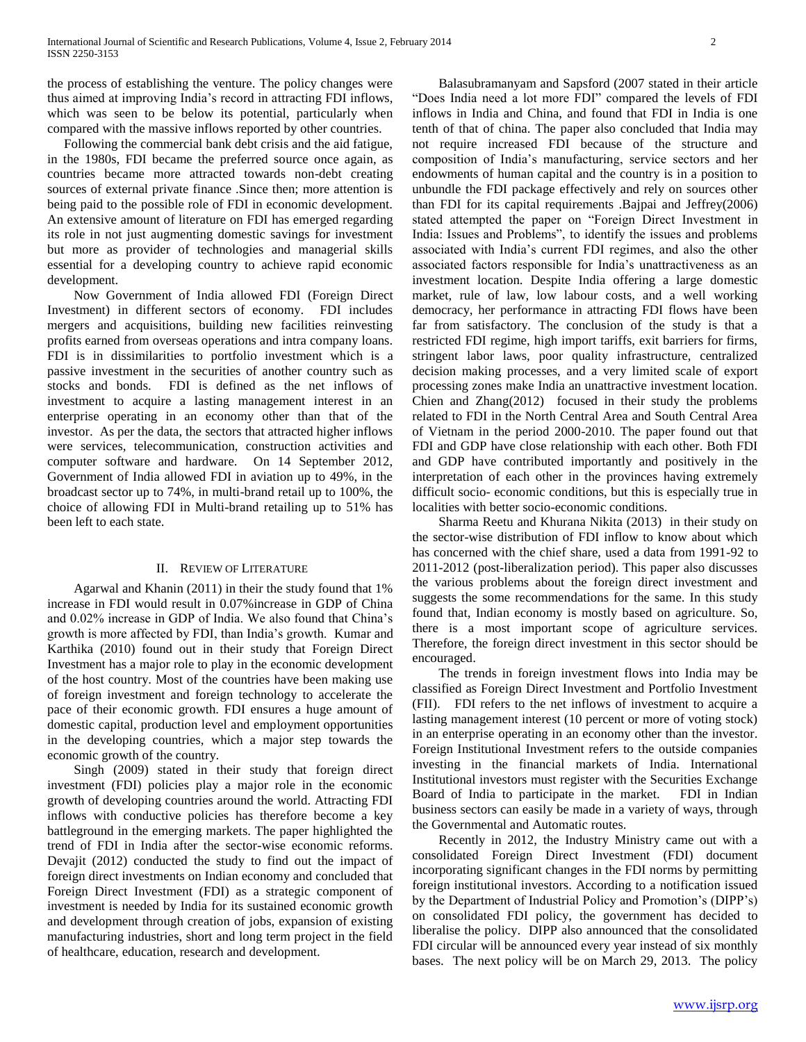the process of establishing the venture. The policy changes were thus aimed at improving India's record in attracting FDI inflows, which was seen to be below its potential, particularly when compared with the massive inflows reported by other countries.

 Following the commercial bank debt crisis and the aid fatigue, in the 1980s, FDI became the preferred source once again, as countries became more attracted towards non-debt creating sources of external private finance .Since then; more attention is being paid to the possible role of FDI in economic development. An extensive amount of literature on FDI has emerged regarding its role in not just augmenting domestic savings for investment but more as provider of technologies and managerial skills essential for a developing country to achieve rapid economic development.

 Now Government of India allowed FDI (Foreign Direct Investment) in different sectors of economy. FDI includes mergers and acquisitions, building new facilities reinvesting profits earned from overseas operations and intra company loans. FDI is in dissimilarities to portfolio investment which is a passive investment in the securities of another country such as stocks and bonds. FDI is defined as the net inflows of investment to acquire a lasting management interest in an enterprise operating in an economy other than that of the investor. As per the data, the sectors that attracted higher inflows were services, telecommunication, construction activities and computer software and hardware. On 14 September 2012, Government of India allowed FDI in aviation up to 49%, in the broadcast sector up to 74%, in multi-brand retail up to 100%, the choice of allowing FDI in Multi-brand retailing up to 51% has been left to each state.

## II. REVIEW OF LITERATURE

 Agarwal and Khanin (2011) in their the study found that 1% increase in FDI would result in 0.07%increase in GDP of China and 0.02% increase in GDP of India. We also found that China's growth is more affected by FDI, than India's growth. Kumar and Karthika (2010) found out in their study that Foreign Direct Investment has a major role to play in the economic development of the host country. Most of the countries have been making use of foreign investment and foreign technology to accelerate the pace of their economic growth. FDI ensures a huge amount of domestic capital, production level and employment opportunities in the developing countries, which a major step towards the economic growth of the country.

 Singh (2009) stated in their study that foreign direct investment (FDI) policies play a major role in the economic growth of developing countries around the world. Attracting FDI inflows with conductive policies has therefore become a key battleground in the emerging markets. The paper highlighted the trend of FDI in India after the sector-wise economic reforms. Devajit (2012) conducted the study to find out the impact of foreign direct investments on Indian economy and concluded that Foreign Direct Investment (FDI) as a strategic component of investment is needed by India for its sustained economic growth and development through creation of jobs, expansion of existing manufacturing industries, short and long term project in the field of healthcare, education, research and development.

 Balasubramanyam and Sapsford (2007 stated in their article "Does India need a lot more FDI" compared the levels of FDI inflows in India and China, and found that FDI in India is one tenth of that of china. The paper also concluded that India may not require increased FDI because of the structure and composition of India's manufacturing, service sectors and her endowments of human capital and the country is in a position to unbundle the FDI package effectively and rely on sources other than FDI for its capital requirements .Bajpai and Jeffrey(2006) stated attempted the paper on "Foreign Direct Investment in India: Issues and Problems", to identify the issues and problems associated with India's current FDI regimes, and also the other associated factors responsible for India's unattractiveness as an investment location. Despite India offering a large domestic market, rule of law, low labour costs, and a well working democracy, her performance in attracting FDI flows have been far from satisfactory. The conclusion of the study is that a restricted FDI regime, high import tariffs, exit barriers for firms, stringent labor laws, poor quality infrastructure, centralized decision making processes, and a very limited scale of export processing zones make India an unattractive investment location. Chien and Zhang(2012) focused in their study the problems related to FDI in the North Central Area and South Central Area of Vietnam in the period 2000-2010. The paper found out that FDI and GDP have close relationship with each other. Both FDI and GDP have contributed importantly and positively in the interpretation of each other in the provinces having extremely difficult socio- economic conditions, but this is especially true in localities with better socio-economic conditions.

 Sharma Reetu and Khurana Nikita (2013) in their study on the sector-wise distribution of FDI inflow to know about which has concerned with the chief share, used a data from 1991-92 to 2011-2012 (post-liberalization period). This paper also discusses the various problems about the foreign direct investment and suggests the some recommendations for the same. In this study found that, Indian economy is mostly based on agriculture. So, there is a most important scope of agriculture services. Therefore, the foreign direct investment in this sector should be encouraged.

 The trends in foreign investment flows into India may be classified as Foreign Direct Investment and Portfolio Investment (FII). FDI refers to the net inflows of investment to acquire a lasting management interest (10 percent or more of voting stock) in an enterprise operating in an economy other than the investor. Foreign Institutional Investment refers to the outside companies investing in the financial markets of India. International Institutional investors must register with the Securities Exchange Board of India to participate in the market. FDI in Indian business sectors can easily be made in a variety of ways, through the Governmental and Automatic routes.

 Recently in 2012, the Industry Ministry came out with a consolidated Foreign Direct Investment (FDI) document incorporating significant changes in the FDI norms by permitting foreign institutional investors. According to a notification issued by the Department of Industrial Policy and Promotion's (DIPP's) on consolidated FDI policy, the government has decided to liberalise the policy. DIPP also announced that the consolidated FDI circular will be announced every year instead of six monthly bases. The next policy will be on March 29, 2013. The policy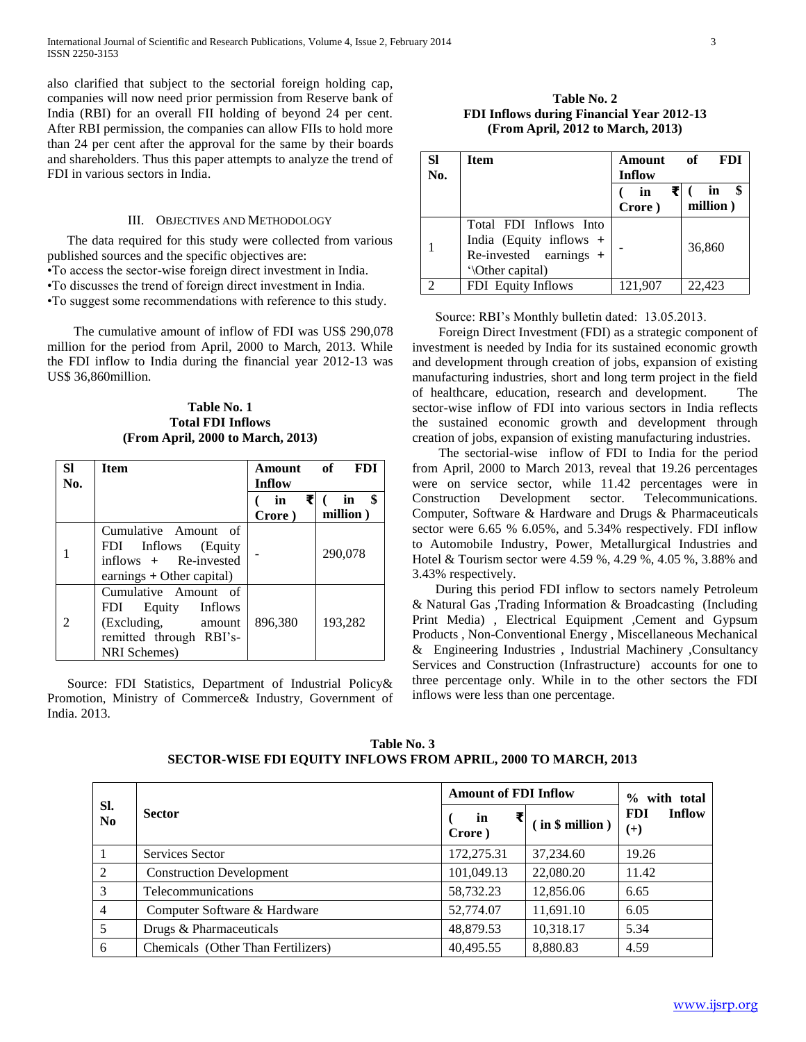also clarified that subject to the sectorial foreign holding cap, companies will now need prior permission from Reserve bank of India (RBI) for an overall FII holding of beyond 24 per cent. After RBI permission, the companies can allow FIIs to hold more than 24 per cent after the approval for the same by their boards and shareholders. Thus this paper attempts to analyze the trend of FDI in various sectors in India.

#### III. OBJECTIVES AND METHODOLOGY

 The data required for this study were collected from various published sources and the specific objectives are:

- •To access the sector-wise foreign direct investment in India.
- •To discusses the trend of foreign direct investment in India.
- •To suggest some recommendations with reference to this study.

 The cumulative amount of inflow of FDI was US\$ 290,078 million for the period from April, 2000 to March, 2013. While the FDI inflow to India during the financial year 2012-13 was US\$ 36,860million.

**Table No. 1 Total FDI Inflows (From April, 2000 to March, 2013)**

| <b>SI</b><br>No. | <b>Item</b>                                                                                                           | <b>Amount</b><br>Inflow | <b>FDI</b><br>of     |
|------------------|-----------------------------------------------------------------------------------------------------------------------|-------------------------|----------------------|
|                  |                                                                                                                       | ₹<br>in<br>Crore)       | \$<br>in<br>million) |
|                  | Cumulative Amount of<br>FDI –<br>Inflows<br>(Equity)<br>inflows + Re-invested<br>earnings + Other capital)            |                         | 290,078              |
|                  | Cumulative Amount of<br>Equity<br>FDI.<br>Inflows<br>(Excluding,<br>amount<br>remitted through RBI's-<br>NRI Schemes) | 896.380                 | 193,282              |

 Source: FDI Statistics, Department of Industrial Policy& Promotion, Ministry of Commerce& Industry, Government of India. 2013.

**Table No. 2 FDI Inflows during Financial Year 2012-13 (From April, 2012 to March, 2013)**

| <b>SI</b><br>No. | <b>Item</b>                                                                                     | Amount<br>Inflow | <b>FDI</b><br>of |
|------------------|-------------------------------------------------------------------------------------------------|------------------|------------------|
|                  |                                                                                                 | in<br>Crore)     | in<br>million)   |
|                  | Total FDI Inflows Into<br>India (Equity inflows +<br>Re-invested earnings +<br>'\Other capital) |                  | 36,860           |
|                  | FDI Equity Inflows                                                                              | 121,907          | 22,423           |

Source: RBI's Monthly bulletin dated: 13.05.2013.

 Foreign Direct Investment (FDI) as a strategic component of investment is needed by India for its sustained economic growth and development through creation of jobs, expansion of existing manufacturing industries, short and long term project in the field of healthcare, education, research and development. The sector-wise inflow of FDI into various sectors in India reflects the sustained economic growth and development through creation of jobs, expansion of existing manufacturing industries.

 The sectorial-wise inflow of FDI to India for the period from April, 2000 to March 2013, reveal that 19.26 percentages were on service sector, while 11.42 percentages were in Construction Development sector. Telecommunications. Computer, Software & Hardware and Drugs & Pharmaceuticals sector were 6.65 % 6.05%, and 5.34% respectively. FDI inflow to Automobile Industry, Power, Metallurgical Industries and Hotel & Tourism sector were 4.59 %, 4.29 %, 4.05 %, 3.88% and 3.43% respectively.

 During this period FDI inflow to sectors namely Petroleum & Natural Gas ,Trading Information & Broadcasting (Including Print Media) , Electrical Equipment ,Cement and Gypsum Products , Non-Conventional Energy , Miscellaneous Mechanical & Engineering Industries , Industrial Machinery ,Consultancy Services and Construction (Infrastructure) accounts for one to three percentage only. While in to the other sectors the FDI inflows were less than one percentage.

**Table No. 3 SECTOR-WISE FDI EQUITY INFLOWS FROM APRIL, 2000 TO MARCH, 2013**

| SI.<br>N <sub>0</sub> | <b>Sector</b>                      | <b>Amount of FDI Inflow</b> |                 | with total<br>$\frac{0}{0}$      |  |
|-----------------------|------------------------------------|-----------------------------|-----------------|----------------------------------|--|
|                       |                                    | in<br>Crore)                | (in \$ million) | Inflow<br><b>FDI</b><br>$^{(+)}$ |  |
|                       | Services Sector                    | 172,275.31                  | 37,234.60       | 19.26                            |  |
| 2                     | <b>Construction Development</b>    | 101,049.13                  | 22,080.20       | 11.42                            |  |
| 3                     | Telecommunications                 | 58,732.23                   | 12,856.06       | 6.65                             |  |
| $\overline{4}$        | Computer Software & Hardware       | 52,774.07                   | 11,691.10       | 6.05                             |  |
| 5                     | Drugs & Pharmaceuticals            | 48,879.53                   | 10,318.17       | 5.34                             |  |
| 6                     | Chemicals (Other Than Fertilizers) | 40,495.55                   | 8,880.83        | 4.59                             |  |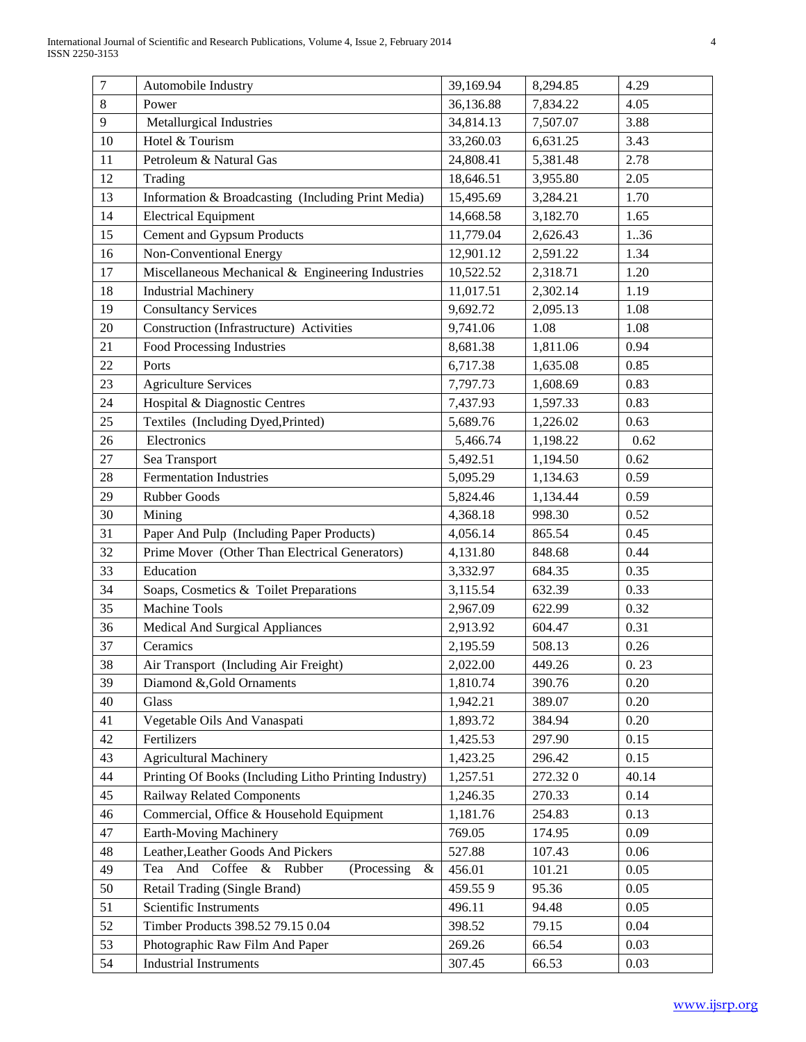| $\overline{7}$ | Automobile Industry                                   | 39,169.94 | 8,294.85 | 4.29  |
|----------------|-------------------------------------------------------|-----------|----------|-------|
| 8              | Power                                                 | 36,136.88 | 7,834.22 | 4.05  |
| 9              | Metallurgical Industries                              | 34,814.13 | 7,507.07 | 3.88  |
| 10             | Hotel & Tourism                                       | 33,260.03 | 6,631.25 | 3.43  |
| 11             | Petroleum & Natural Gas                               | 24,808.41 | 5,381.48 | 2.78  |
| 12             | Trading                                               | 18,646.51 | 3,955.80 | 2.05  |
| 13             | Information & Broadcasting (Including Print Media)    | 15,495.69 | 3,284.21 | 1.70  |
| 14             | <b>Electrical Equipment</b>                           | 14,668.58 | 3,182.70 | 1.65  |
| 15             | <b>Cement and Gypsum Products</b>                     | 11,779.04 | 2,626.43 | 1.36  |
| 16             | Non-Conventional Energy                               | 12,901.12 | 2,591.22 | 1.34  |
| 17             | Miscellaneous Mechanical & Engineering Industries     | 10,522.52 | 2,318.71 | 1.20  |
| 18             | <b>Industrial Machinery</b>                           | 11,017.51 | 2,302.14 | 1.19  |
| 19             | <b>Consultancy Services</b>                           | 9,692.72  | 2,095.13 | 1.08  |
| $20\,$         | Construction (Infrastructure) Activities              | 9,741.06  | 1.08     | 1.08  |
| 21             | Food Processing Industries                            | 8,681.38  | 1,811.06 | 0.94  |
| 22             | Ports                                                 | 6,717.38  | 1,635.08 | 0.85  |
| 23             | <b>Agriculture Services</b>                           | 7,797.73  | 1,608.69 | 0.83  |
| 24             | Hospital & Diagnostic Centres                         | 7,437.93  | 1,597.33 | 0.83  |
| 25             | Textiles (Including Dyed, Printed)                    | 5,689.76  | 1,226.02 | 0.63  |
| 26             | Electronics                                           | 5,466.74  | 1,198.22 | 0.62  |
| 27             | Sea Transport                                         | 5,492.51  | 1,194.50 | 0.62  |
| 28             | <b>Fermentation Industries</b>                        | 5,095.29  | 1,134.63 | 0.59  |
| 29             | Rubber Goods                                          | 5,824.46  | 1,134.44 | 0.59  |
| 30             | Mining                                                | 4,368.18  | 998.30   | 0.52  |
| 31             | Paper And Pulp (Including Paper Products)             | 4,056.14  | 865.54   | 0.45  |
| 32             | Prime Mover (Other Than Electrical Generators)        | 4,131.80  | 848.68   | 0.44  |
| 33             | Education                                             | 3,332.97  | 684.35   | 0.35  |
| 34             | Soaps, Cosmetics & Toilet Preparations                | 3,115.54  | 632.39   | 0.33  |
| 35             | <b>Machine Tools</b>                                  | 2,967.09  | 622.99   | 0.32  |
| 36             | Medical And Surgical Appliances                       | 2,913.92  | 604.47   | 0.31  |
| 37             | Ceramics                                              | 2,195.59  | 508.13   | 0.26  |
| 38             | Air Transport (Including Air Freight)                 | 2,022.00  | 449.26   | 0.23  |
| 39             | Diamond &, Gold Ornaments                             | 1,810.74  | 390.76   | 0.20  |
| 40             | Glass                                                 | 1,942.21  | 389.07   | 0.20  |
| 41             | Vegetable Oils And Vanaspati                          | 1,893.72  | 384.94   | 0.20  |
| 42             | Fertilizers                                           | 1,425.53  | 297.90   | 0.15  |
| 43             | <b>Agricultural Machinery</b>                         | 1,423.25  | 296.42   | 0.15  |
| 44             | Printing Of Books (Including Litho Printing Industry) | 1,257.51  | 272.320  | 40.14 |
| 45             | <b>Railway Related Components</b>                     | 1,246.35  | 270.33   | 0.14  |
| 46             | Commercial, Office & Household Equipment              | 1,181.76  | 254.83   | 0.13  |
| 47             | Earth-Moving Machinery                                | 769.05    | 174.95   | 0.09  |
| 48             | Leather, Leather Goods And Pickers                    | 527.88    | 107.43   | 0.06  |
| 49             | Tea And Coffee & Rubber<br>(Processing<br>$\&$        | 456.01    | 101.21   | 0.05  |
| 50             | Retail Trading (Single Brand)                         | 459.559   | 95.36    | 0.05  |
| 51             | Scientific Instruments                                | 496.11    | 94.48    | 0.05  |
| 52             | Timber Products 398.52 79.15 0.04                     | 398.52    | 79.15    | 0.04  |
| 53             | Photographic Raw Film And Paper                       | 269.26    | 66.54    | 0.03  |
| 54             | <b>Industrial Instruments</b>                         | 307.45    | 66.53    | 0.03  |